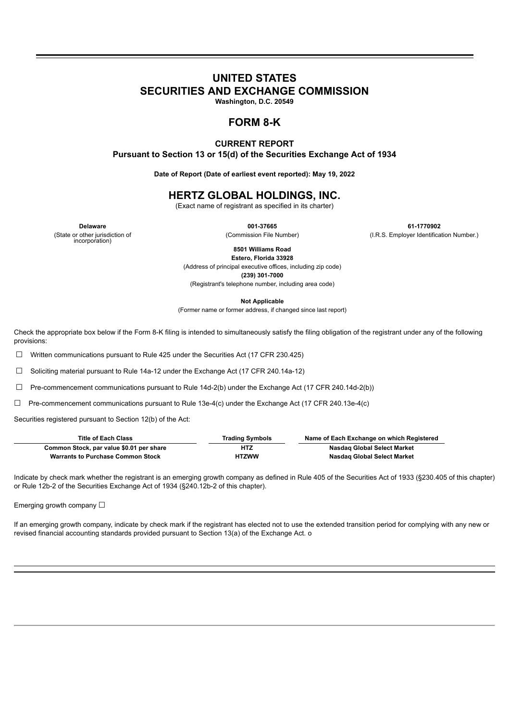# **UNITED STATES**

**SECURITIES AND EXCHANGE COMMISSION**

**Washington, D.C. 20549**

# **FORM 8-K**

## **CURRENT REPORT Pursuant to Section 13 or 15(d) of the Securities Exchange Act of 1934**

**Date of Report (Date of earliest event reported): May 19, 2022**

## **HERTZ GLOBAL HOLDINGS, INC.**

(Exact name of registrant as specified in its charter)

(State or other jurisdiction of incorporation)

**Delaware 001-37665 61-1770902** (Commission File Number) (I.R.S. Employer Identification Number.)

> **8501 Williams Road Estero, Florida 33928**

(Address of principal executive offices, including zip code)

**(239) 301-7000**

(Registrant's telephone number, including area code)

**Not Applicable**

(Former name or former address, if changed since last report)

Check the appropriate box below if the Form 8-K filing is intended to simultaneously satisfy the filing obligation of the registrant under any of the following provisions:

☐ Written communications pursuant to Rule 425 under the Securities Act (17 CFR 230.425)

☐ Soliciting material pursuant to Rule 14a-12 under the Exchange Act (17 CFR 240.14a-12)

☐ Pre-commencement communications pursuant to Rule 14d-2(b) under the Exchange Act (17 CFR 240.14d-2(b))

 $\Box$  Pre-commencement communications pursuant to Rule 13e-4(c) under the Exchange Act (17 CFR 240.13e-4(c)

Securities registered pursuant to Section 12(b) of the Act:

| <b>Title of Each Class</b>               | <b>Trading Symbols</b> | Name of Each Exchange on which Registered |
|------------------------------------------|------------------------|-------------------------------------------|
| Common Stock, par value \$0.01 per share | <b>HTZ</b>             | Nasdag Global Select Market               |
| <b>Warrants to Purchase Common Stock</b> | <b>HTZWW</b>           | Nasdag Global Select Market               |

Indicate by check mark whether the registrant is an emerging growth company as defined in Rule 405 of the Securities Act of 1933 (§230.405 of this chapter) or Rule 12b-2 of the Securities Exchange Act of 1934 (§240.12b-2 of this chapter).

Emerging growth company  $\Box$ 

If an emerging growth company, indicate by check mark if the registrant has elected not to use the extended transition period for complying with any new or revised financial accounting standards provided pursuant to Section 13(a) of the Exchange Act. o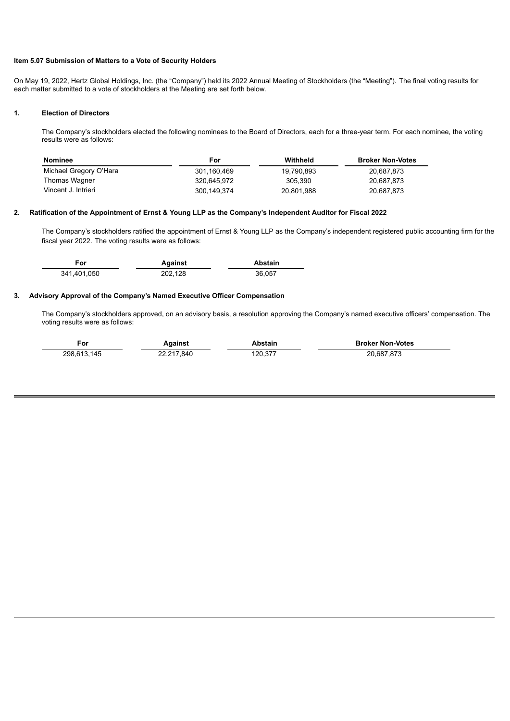### **Item 5.07 Submission of Matters to a Vote of Security Holders**

On May 19, 2022, Hertz Global Holdings, Inc. (the "Company") held its 2022 Annual Meeting of Stockholders (the "Meeting"). The final voting results for each matter submitted to a vote of stockholders at the Meeting are set forth below.

#### **1. Election of Directors**

 $\sim$ 

The Company's stockholders elected the following nominees to the Board of Directors, each for a three-year term. For each nominee, the voting results were as follows:

| Nominee                | For         | Withheld   | <b>Broker Non-Votes</b> |
|------------------------|-------------|------------|-------------------------|
| Michael Gregory O'Hara | 301.160.469 | 19.790.893 | 20.687.873              |
| Thomas Wagner          | 320.645.972 | 305.390    | 20.687.873              |
| Vincent J. Intrieri    | 300,149,374 | 20,801,988 | 20,687,873              |

#### **2. Ratification of the Appointment of Ernst & Young LLP as the Company's Independent Auditor for Fiscal 2022**

The Company's stockholders ratified the appointment of Ernst & Young LLP as the Company's independent registered public accounting firm for the fiscal year 2022. The voting results were as follows:

| For         | Against | <b>Abstain</b> |
|-------------|---------|----------------|
| 341.401.050 | 202.128 | 36.057         |

#### **3. Advisory Approval of the Company's Named Executive Officer Compensation**

The Company's stockholders approved, on an advisory basis, a resolution approving the Company's named executive officers' compensation. The voting results were as follows:

| For         | aainst،    | <b>\bstain</b> | <b>Broker Non-Votes</b> |
|-------------|------------|----------------|-------------------------|
| 298.613.145 | 22,217,840 | 120.377        | 20.687.873              |